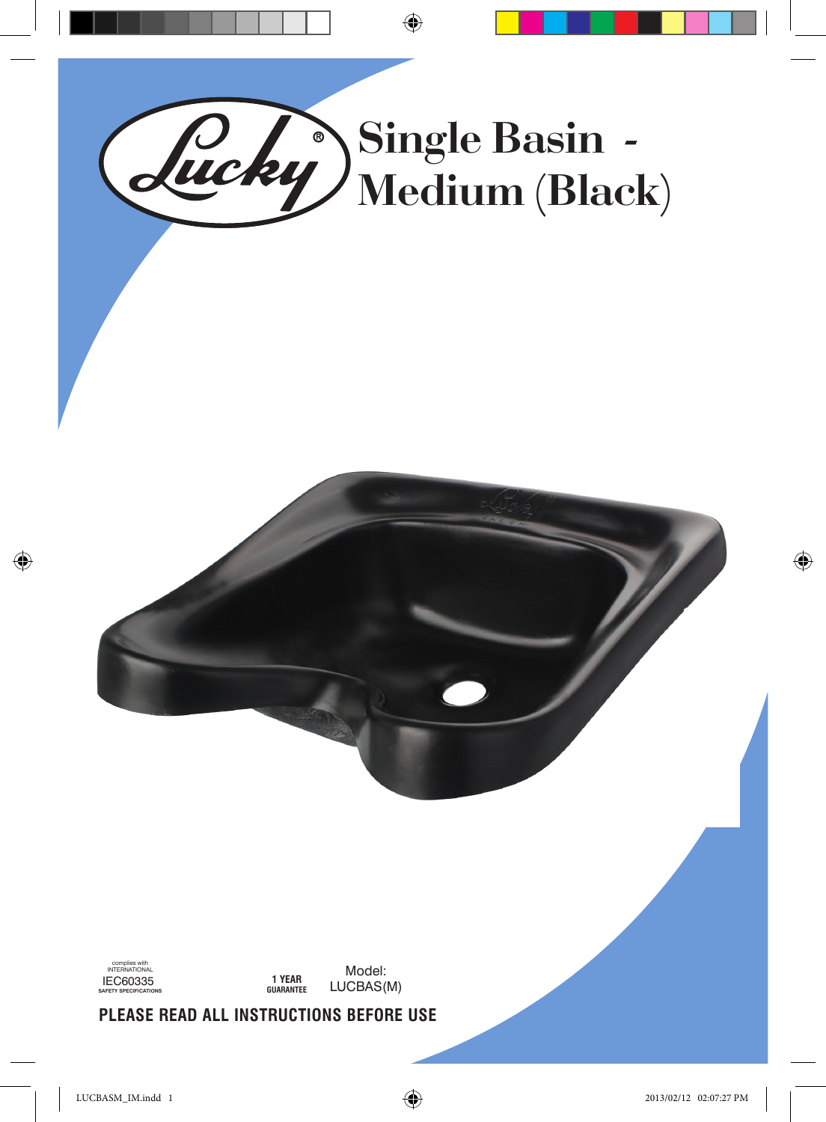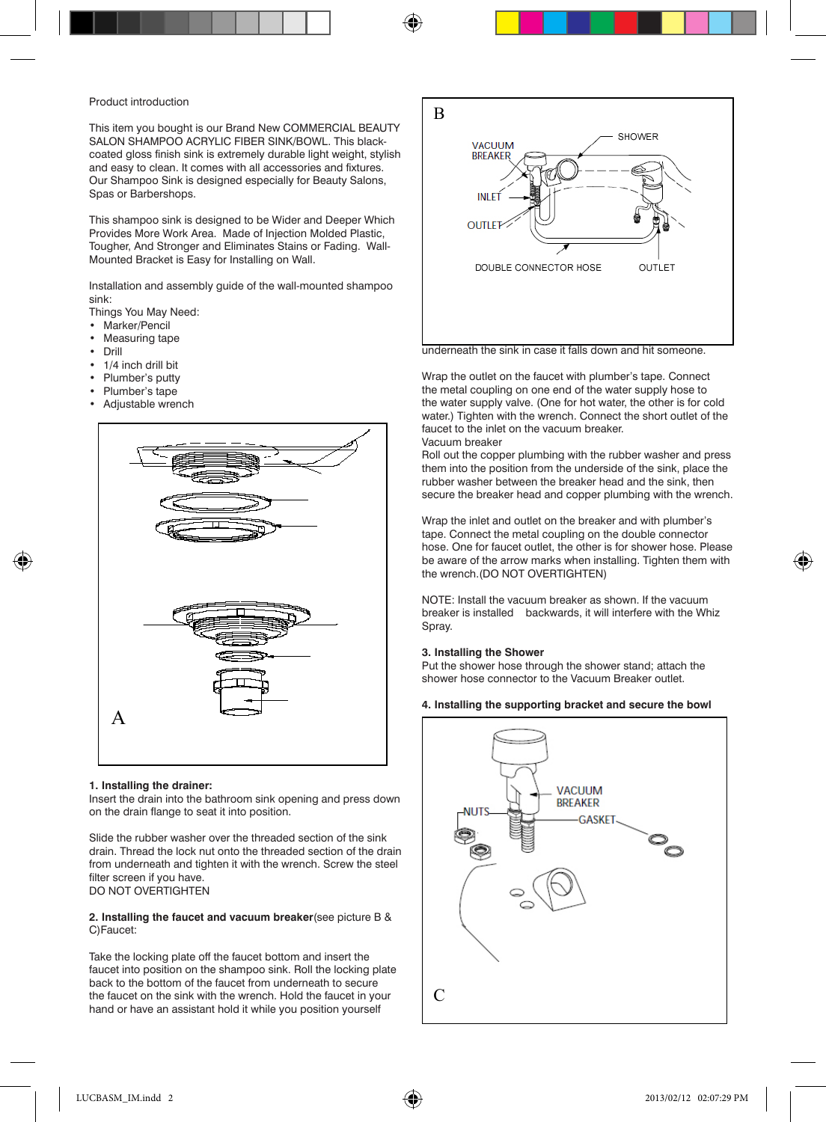### Product introduction

This item you bought is our Brand New COMMERCIAL BEAUTY SALON SHAMPOO ACRYLIC FIBER SINK/BOWL. This blackcoated gloss finish sink is extremely durable light weight, stylish and easy to clean. It comes with all accessories and fixtures. Our Shampoo Sink is designed especially for Beauty Salons, Spas or Barbershops.

This shampoo sink is designed to be Wider and Deeper Which Provides More Work Area. Made of Injection Molded Plastic, Tougher, And Stronger and Eliminates Stains or Fading. Wall-Mounted Bracket is Easy for Installing on Wall.

Installation and assembly guide of the wall-mounted shampoo sink:

Things You May Need:

- Marker/Pencil
- **Measuring tape**
- • Drill
- 1/4 inch drill bit
- • Plumber's putty
- • Plumber's tape
- Adjustable wrench



### **1. Installing the drainer:**

Insert the drain into the bathroom sink opening and press down on the drain flange to seat it into position.

Slide the rubber washer over the threaded section of the sink drain. Thread the lock nut onto the threaded section of the drain from underneath and tighten it with the wrench. Screw the steel filter screen if you have. DO NOT OVERTIGHTEN

### **2. Installing the faucet and vacuum breaker**(see picture B & C)Faucet:

Take the locking plate off the faucet bottom and insert the faucet into position on the shampoo sink. Roll the locking plate back to the bottom of the faucet from underneath to secure the faucet on the sink with the wrench. Hold the faucet in your hand or have an assistant hold it while you position yourself



underneath the sink in case it falls down and hit someone.

Wrap the outlet on the faucet with plumber's tape. Connect the metal coupling on one end of the water supply hose to the water supply valve. (One for hot water, the other is for cold water.) Tighten with the wrench. Connect the short outlet of the faucet to the inlet on the vacuum breaker.

Vacuum breaker

Roll out the copper plumbing with the rubber washer and press them into the position from the underside of the sink, place the rubber washer between the breaker head and the sink, then secure the breaker head and copper plumbing with the wrench.

Wrap the inlet and outlet on the breaker and with plumber's tape. Connect the metal coupling on the double connector hose. One for faucet outlet, the other is for shower hose. Please be aware of the arrow marks when installing. Tighten them with the wrench.(DO NOT OVERTIGHTEN)

NOTE: Install the vacuum breaker as shown. If the vacuum breaker is installed backwards, it will interfere with the Whiz Spray.

### **3. Installing the Shower**

Put the shower hose through the shower stand; attach the shower hose connector to the Vacuum Breaker outlet.

### **4. Installing the supporting bracket and secure the bowl**



⊕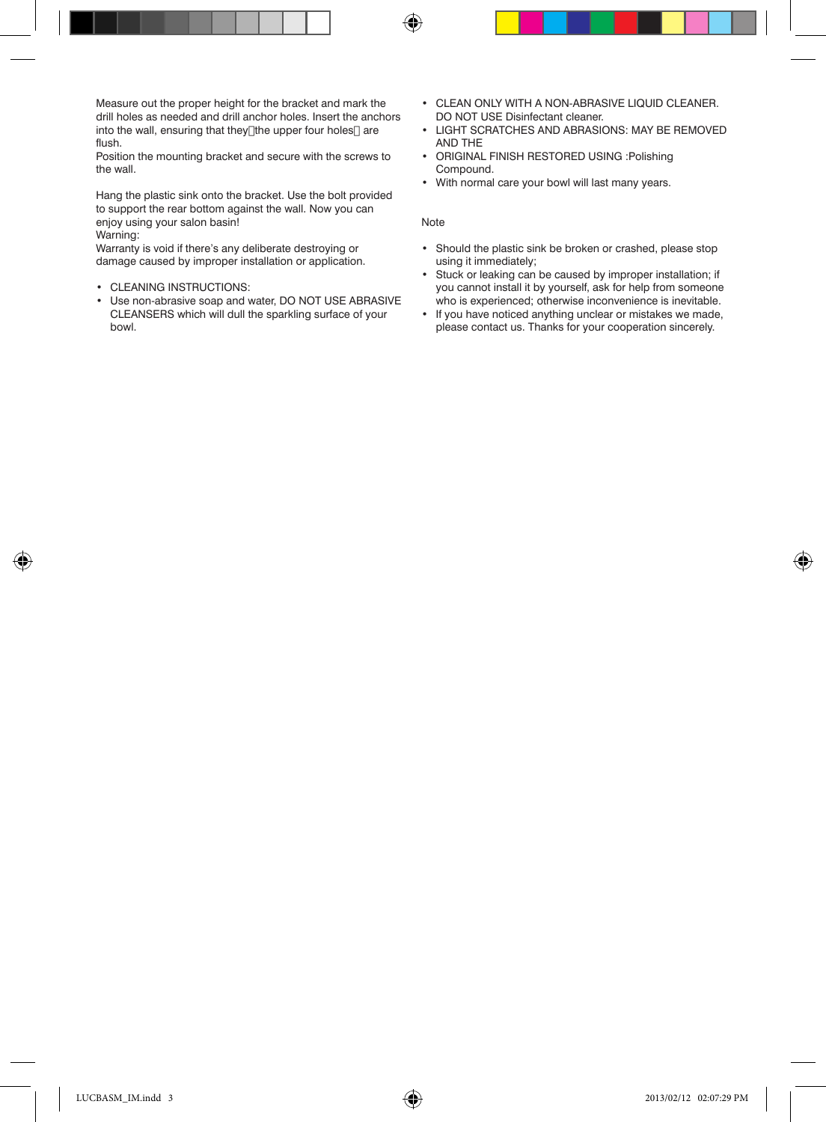Measure out the proper height for the bracket and mark the drill holes as needed and drill anchor holes. Insert the anchors into the wall, ensuring that they[]the upper four holes[] are flush.

Position the mounting bracket and secure with the screws to the wall.

Hang the plastic sink onto the bracket. Use the bolt provided to support the rear bottom against the wall. Now you can enjoy using your salon basin! Warning:

Warranty is void if there's any deliberate destroying or damage caused by improper installation or application.

- CLEANING INSTRUCTIONS:
- • Use non-abrasive soap and water, DO NOT USE ABRASIVE CLEANSERS which will dull the sparkling surface of your bowl.
- • CLEAN ONLY WITH A NON-ABRASIVE LIQUID CLEANER. DO NOT USE Disinfectant cleaner.
- • LIGHT SCRATCHES AND ABRASIONS: MAY BE REMOVED AND THE
- • ORIGINAL FINISH RESTORED USING :Polishing Compound.
- • With normal care your bowl will last many years.

#### Note

⊕

- • Should the plastic sink be broken or crashed, please stop using it immediately;
- Stuck or leaking can be caused by improper installation; if you cannot install it by yourself, ask for help from someone who is experienced; otherwise inconvenience is inevitable.
- If you have noticed anything unclear or mistakes we made, please contact us. Thanks for your cooperation sincerely.

◈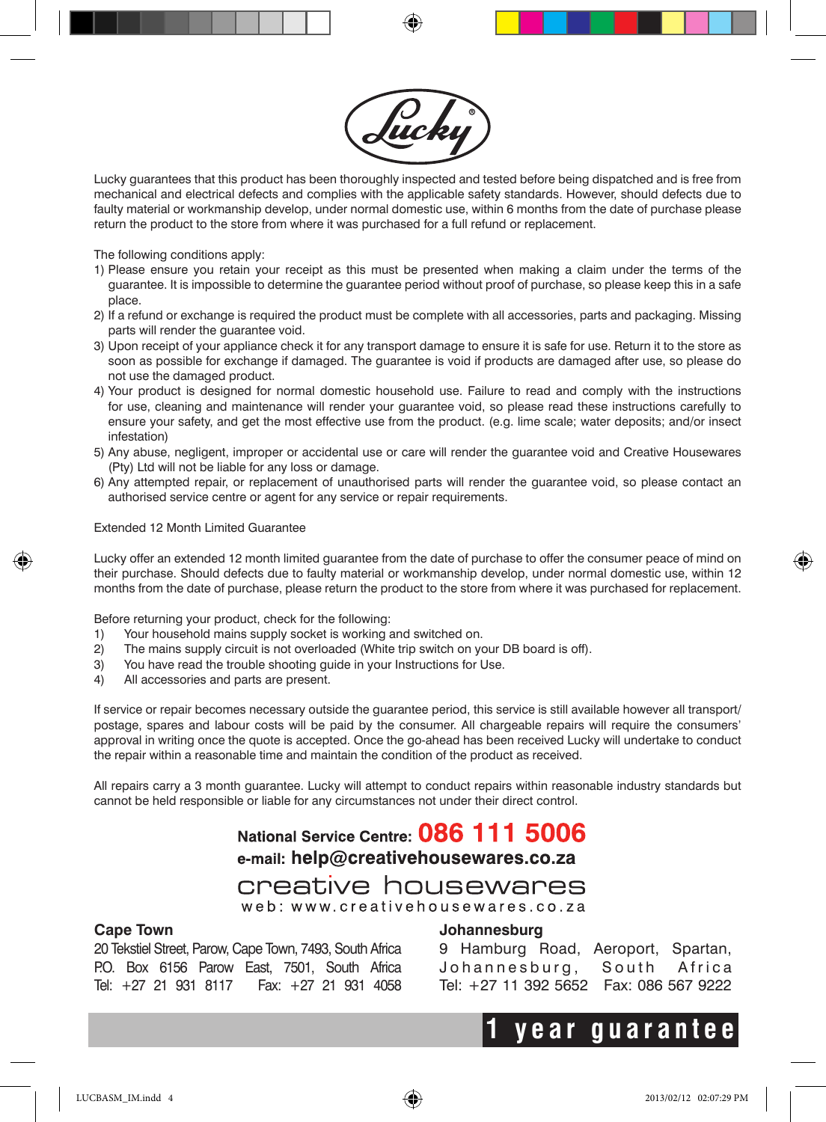

Lucky guarantees that this product has been thoroughly inspected and tested before being dispatched and is free from mechanical and electrical defects and complies with the applicable safety standards. However, should defects due to faulty material or workmanship develop, under normal domestic use, within 6 months from the date of purchase please return the product to the store from where it was purchased for a full refund or replacement.

The following conditions apply:

- 1) Please ensure you retain your receipt as this must be presented when making a claim under the terms of the guarantee. It is impossible to determine the guarantee period without proof of purchase, so please keep this in a safe place.
- 2) If a refund or exchange is required the product must be complete with all accessories, parts and packaging. Missing parts will render the guarantee void.
- 3) Upon receipt of your appliance check it for any transport damage to ensure it is safe for use. Return it to the store as soon as possible for exchange if damaged. The guarantee is void if products are damaged after use, so please do not use the damaged product.
- 4) Your product is designed for normal domestic household use. Failure to read and comply with the instructions for use, cleaning and maintenance will render your guarantee void, so please read these instructions carefully to ensure your safety, and get the most effective use from the product. (e.g. lime scale; water deposits; and/or insect infestation)
- 5) Any abuse, negligent, improper or accidental use or care will render the guarantee void and Creative Housewares (Pty) Ltd will not be liable for any loss or damage.
- 6) Any attempted repair, or replacement of unauthorised parts will render the guarantee void, so please contact an authorised service centre or agent for any service or repair requirements.

Extended 12 Month Limited Guarantee

Lucky offer an extended 12 month limited guarantee from the date of purchase to offer the consumer peace of mind on their purchase. Should defects due to faulty material or workmanship develop, under normal domestic use, within 12 months from the date of purchase, please return the product to the store from where it was purchased for replacement.

Before returning your product, check for the following:

- 1) Your household mains supply socket is working and switched on.
- 2) The mains supply circuit is not overloaded (White trip switch on your DB board is off).
- 3) You have read the trouble shooting guide in your Instructions for Use.
- 4) All accessories and parts are present.

If service or repair becomes necessary outside the guarantee period, this service is still available however all transport/ postage, spares and labour costs will be paid by the consumer. All chargeable repairs will require the consumers' approval in writing once the quote is accepted. Once the go-ahead has been received Lucky will undertake to conduct the repair within a reasonable time and maintain the condition of the product as received.

All repairs carry a 3 month guarantee. Lucky will attempt to conduct repairs within reasonable industry standards but cannot be held responsible or liable for any circumstances not under their direct control.

## National Service Centre: 086 111 5006 e-mail: help@creativehousewares.co.za

## creative housewares web: www.creativehousewares.co.za

### **Cape Town**

20 Tekstiel Street, Parow, Cape Town, 7493, South Africa P.O. Box 6156 Parow East, 7501, South Africa Tel: +27 21 931 8117 Fax: +27 21 931 4058

### **Johannesburg**

9 Hamburg Road, Aeroport, Spartan, Johannesburg, South Africa Tel: +27 11 392 5652 Fax: 086 567 9222

# **1 year guarantee**